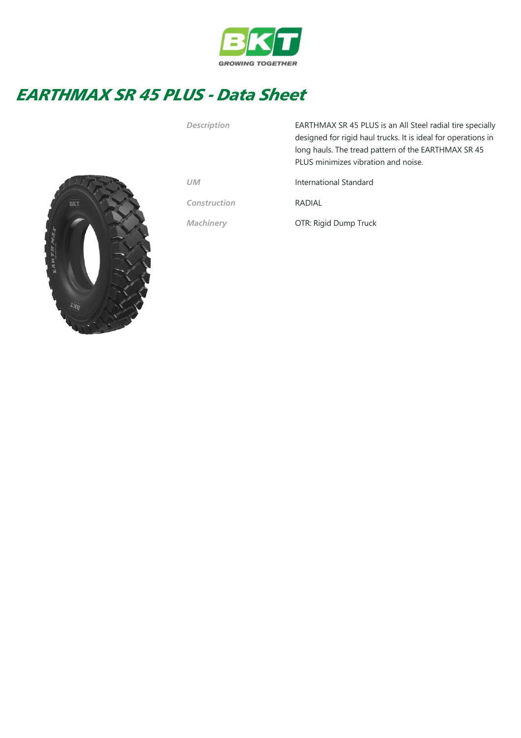

## EARTHMAX SR 45 PLUS - Data Sheet



| Description  | EARTHMAX SR 45 PLUS is an All Steel radial tire specially<br>designed for rigid haul trucks. It is ideal for operations in<br>long hauls. The tread pattern of the EARTHMAX SR 45<br>PLUS minimizes vibration and noise. |
|--------------|--------------------------------------------------------------------------------------------------------------------------------------------------------------------------------------------------------------------------|
| UM           | International Standard                                                                                                                                                                                                   |
| Construction | RADIAI                                                                                                                                                                                                                   |
| Machinery    | OTR: Rigid Dump Truck                                                                                                                                                                                                    |